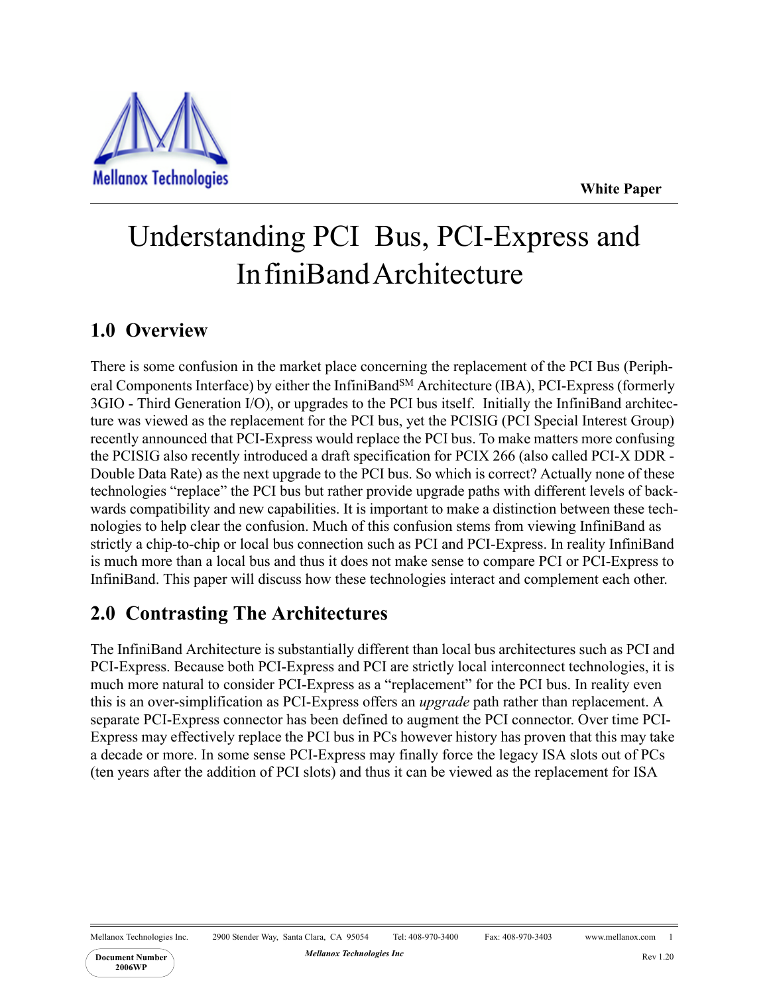**White Paper**



# Understanding PCI Bus, PCI-Express and In finiBand Architecture

## **1.0 Overview**

There is some confusion in the market place concerning the replacement of the PCI Bus (Peripheral Components Interface) by either the InfiniBand<sup>SM</sup> Architecture (IBA), PCI-Express (formerly 3GIO - Third Generation I/O), or upgrades to the PCI bus itself. Initially the InfiniBand architecture was viewed as the replacement for the PCI bus, yet the PCISIG (PCI Special Interest Group) recently announced that PCI-Express would replace the PCI bus. To make matters more confusing the PCISIG also recently introduced a draft specification for PCIX 266 (also called PCI-X DDR - Double Data Rate) as the next upgrade to the PCI bus. So which is correct? Actually none of these technologies "replace" the PCI bus but rather provide upgrade paths with different levels of backwards compatibility and new capabilities. It is important to make a distinction between these technologies to help clear the confusion. Much of this confusion stems from viewing InfiniBand as strictly a chip-to-chip or local bus connection such as PCI and PCI-Express. In reality InfiniBand is much more than a local bus and thus it does not make sense to compare PCI or PCI-Express to InfiniBand. This paper will discuss how these technologies interact and complement each other.

## **2.0 Contrasting The Architectures**

The InfiniBand Architecture is substantially different than local bus architectures such as PCI and PCI-Express. Because both PCI-Express and PCI are strictly local interconnect technologies, it is much more natural to consider PCI-Express as a "replacement" for the PCI bus. In reality even this is an over-simplification as PCI-Express offers an *upgrade* path rather than replacement. A separate PCI-Express connector has been defined to augment the PCI connector. Over time PCI-Express may effectively replace the PCI bus in PCs however history has proven that this may take a decade or more. In some sense PCI-Express may finally force the legacy ISA slots out of PCs (ten years after the addition of PCI slots) and thus it can be viewed as the replacement for ISA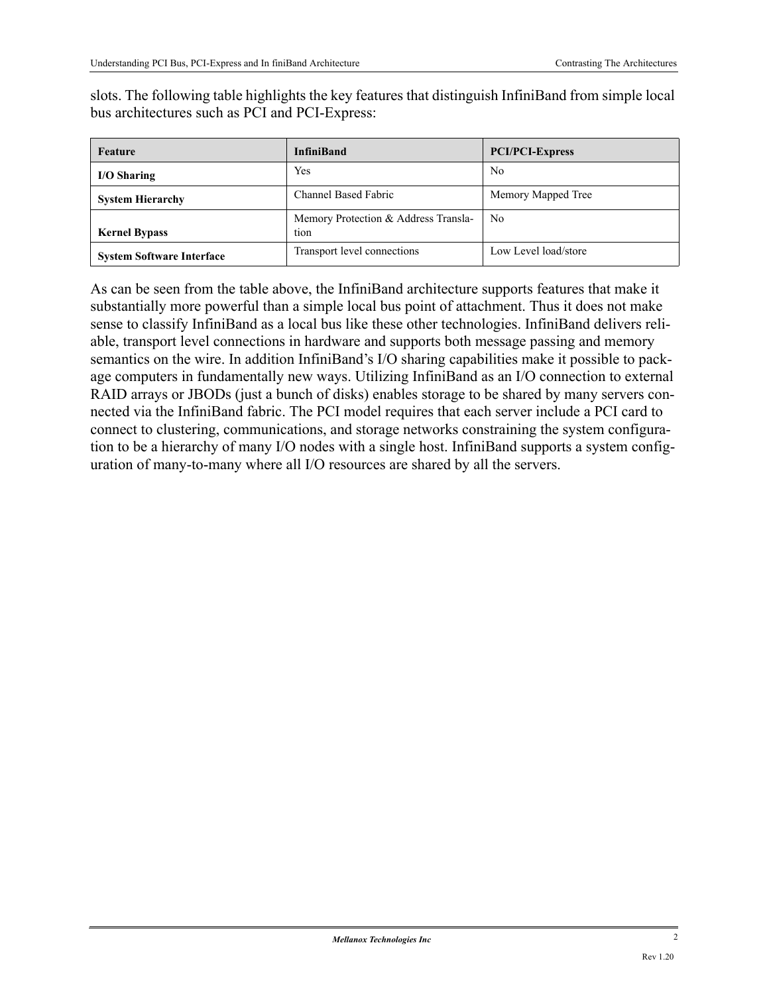slots. The following table highlights the key features that distinguish InfiniBand from simple local bus architectures such as PCI and PCI-Express:

| Feature                          | <b>InfiniBand</b>                            | <b>PCI/PCI-Express</b> |
|----------------------------------|----------------------------------------------|------------------------|
| I/O Sharing                      | Yes                                          | N <sub>0</sub>         |
| <b>System Hierarchy</b>          | Channel Based Fabric                         | Memory Mapped Tree     |
| <b>Kernel Bypass</b>             | Memory Protection & Address Transla-<br>tion | N <sub>0</sub>         |
| <b>System Software Interface</b> | Transport level connections                  | Low Level load/store   |

As can be seen from the table above, the InfiniBand architecture supports features that make it substantially more powerful than a simple local bus point of attachment. Thus it does not make sense to classify InfiniBand as a local bus like these other technologies. InfiniBand delivers reliable, transport level connections in hardware and supports both message passing and memory semantics on the wire. In addition InfiniBand's I/O sharing capabilities make it possible to package computers in fundamentally new ways. Utilizing InfiniBand as an I/O connection to external RAID arrays or JBODs (just a bunch of disks) enables storage to be shared by many servers connected via the InfiniBand fabric. The PCI model requires that each server include a PCI card to connect to clustering, communications, and storage networks constraining the system configuration to be a hierarchy of many I/O nodes with a single host. InfiniBand supports a system configuration of many-to-many where all I/O resources are shared by all the servers.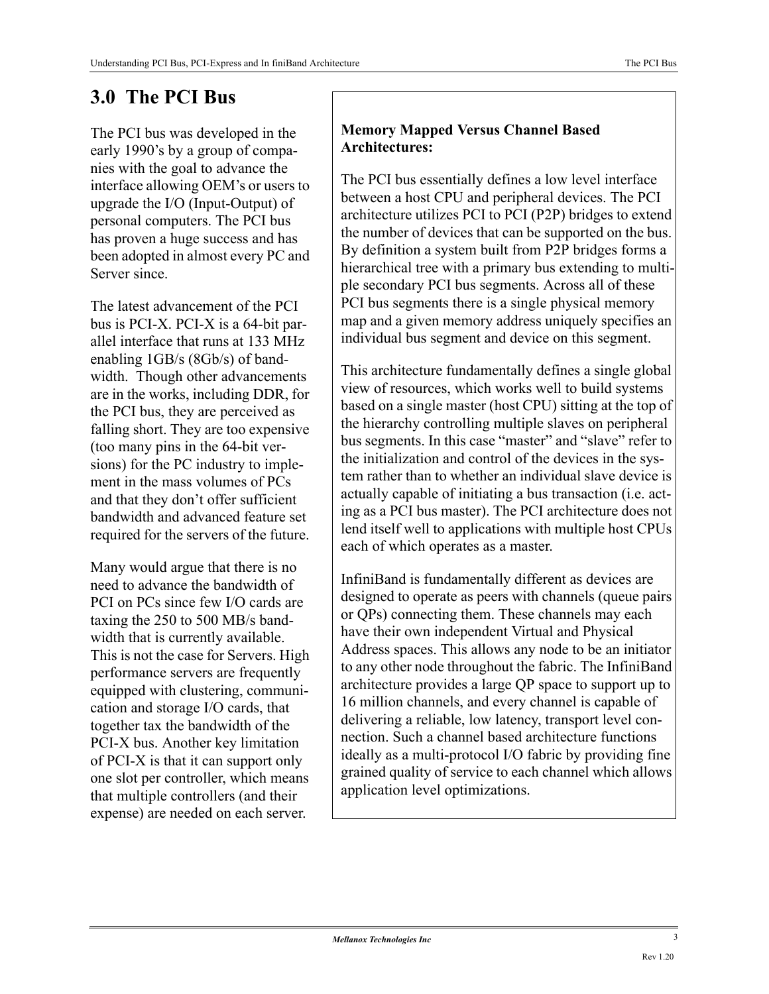## **3.0 The PCI Bus**

The PCI bus was developed in the early 1990's by a group of companies with the goal to advance the interface allowing OEM's or users to upgrade the I/O (Input-Output) of personal computers. The PCI bus has proven a huge success and has been adopted in almost every PC and Server since.

The latest advancement of the PCI bus is PCI-X. PCI-X is a 64-bit parallel interface that runs at 133 MHz enabling 1GB/s (8Gb/s) of bandwidth. Though other advancements are in the works, including DDR, for the PCI bus, they are perceived as falling short. They are too expensive (too many pins in the 64-bit versions) for the PC industry to implement in the mass volumes of PCs and that they don't offer sufficient bandwidth and advanced feature set required for the servers of the future.

Many would argue that there is no need to advance the bandwidth of PCI on PCs since few I/O cards are taxing the 250 to 500 MB/s bandwidth that is currently available. This is not the case for Servers. High performance servers are frequently equipped with clustering, communication and storage I/O cards, that together tax the bandwidth of the PCI-X bus. Another key limitation of PCI-X is that it can support only one slot per controller, which means that multiple controllers (and their expense) are needed on each server.

#### **Memory Mapped Versus Channel Based Architectures:**

The PCI bus essentially defines a low level interface between a host CPU and peripheral devices. The PCI architecture utilizes PCI to PCI (P2P) bridges to extend the number of devices that can be supported on the bus. By definition a system built from P2P bridges forms a hierarchical tree with a primary bus extending to multiple secondary PCI bus segments. Across all of these PCI bus segments there is a single physical memory map and a given memory address uniquely specifies an individual bus segment and device on this segment.

This architecture fundamentally defines a single global view of resources, which works well to build systems based on a single master (host CPU) sitting at the top of the hierarchy controlling multiple slaves on peripheral bus segments. In this case "master" and "slave" refer to the initialization and control of the devices in the system rather than to whether an individual slave device is actually capable of initiating a bus transaction (i.e. acting as a PCI bus master). The PCI architecture does not lend itself well to applications with multiple host CPUs each of which operates as a master.

InfiniBand is fundamentally different as devices are designed to operate as peers with channels (queue pairs or QPs) connecting them. These channels may each have their own independent Virtual and Physical Address spaces. This allows any node to be an initiator to any other node throughout the fabric. The InfiniBand architecture provides a large QP space to support up to 16 million channels, and every channel is capable of delivering a reliable, low latency, transport level connection. Such a channel based architecture functions ideally as a multi-protocol I/O fabric by providing fine grained quality of service to each channel which allows application level optimizations.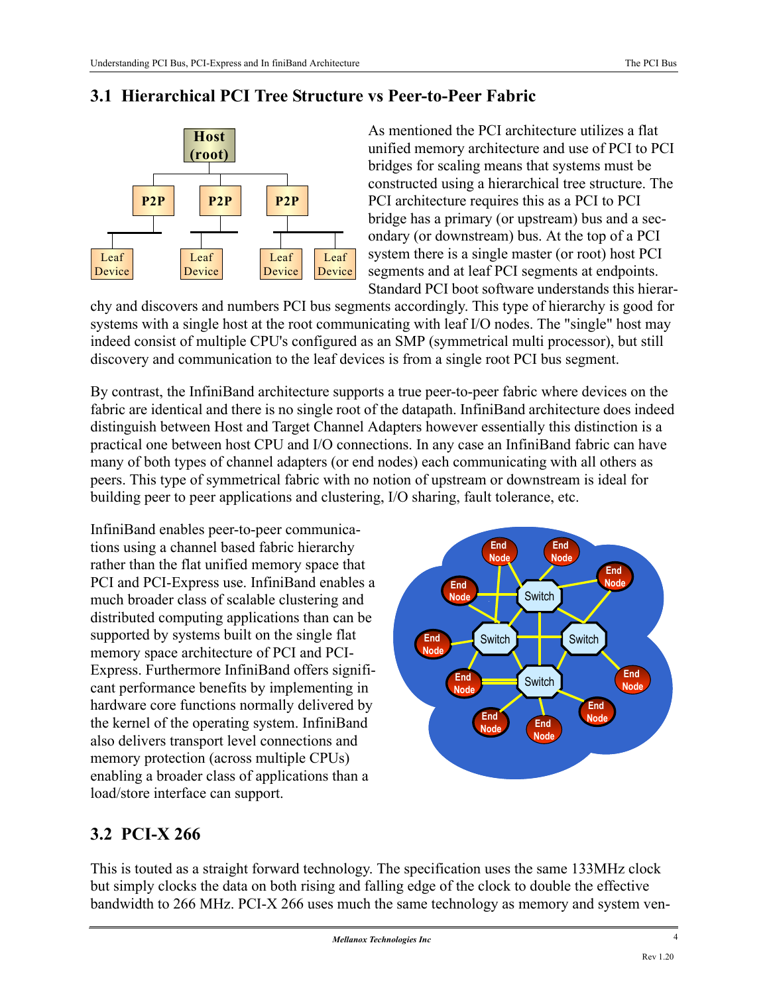#### **3.1 Hierarchical PCI Tree Structure vs Peer-to-Peer Fabric**



As mentioned the PCI architecture utilizes a flat unified memory architecture and use of PCI to PCI bridges for scaling means that systems must be constructed using a hierarchical tree structure. The PCI architecture requires this as a PCI to PCI bridge has a primary (or upstream) bus and a secondary (or downstream) bus. At the top of a PCI system there is a single master (or root) host PCI segments and at leaf PCI segments at endpoints. Standard PCI boot software understands this hierar-

chy and discovers and numbers PCI bus segments accordingly. This type of hierarchy is good for systems with a single host at the root communicating with leaf I/O nodes. The "single" host may indeed consist of multiple CPU's configured as an SMP (symmetrical multi processor), but still discovery and communication to the leaf devices is from a single root PCI bus segment.

By contrast, the InfiniBand architecture supports a true peer-to-peer fabric where devices on the fabric are identical and there is no single root of the datapath. InfiniBand architecture does indeed distinguish between Host and Target Channel Adapters however essentially this distinction is a practical one between host CPU and I/O connections. In any case an InfiniBand fabric can have many of both types of channel adapters (or end nodes) each communicating with all others as peers. This type of symmetrical fabric with no notion of upstream or downstream is ideal for building peer to peer applications and clustering, I/O sharing, fault tolerance, etc.

InfiniBand enables peer-to-peer communications using a channel based fabric hierarchy rather than the flat unified memory space that PCI and PCI-Express use. InfiniBand enables a much broader class of scalable clustering and distributed computing applications than can be supported by systems built on the single flat memory space architecture of PCI and PCI-Express. Furthermore InfiniBand offers significant performance benefits by implementing in hardware core functions normally delivered by the kernel of the operating system. InfiniBand also delivers transport level connections and memory protection (across multiple CPUs) enabling a broader class of applications than a load/store interface can support.



## **3.2 PCI-X 266**

This is touted as a straight forward technology. The specification uses the same 133MHz clock but simply clocks the data on both rising and falling edge of the clock to double the effective bandwidth to 266 MHz. PCI-X 266 uses much the same technology as memory and system ven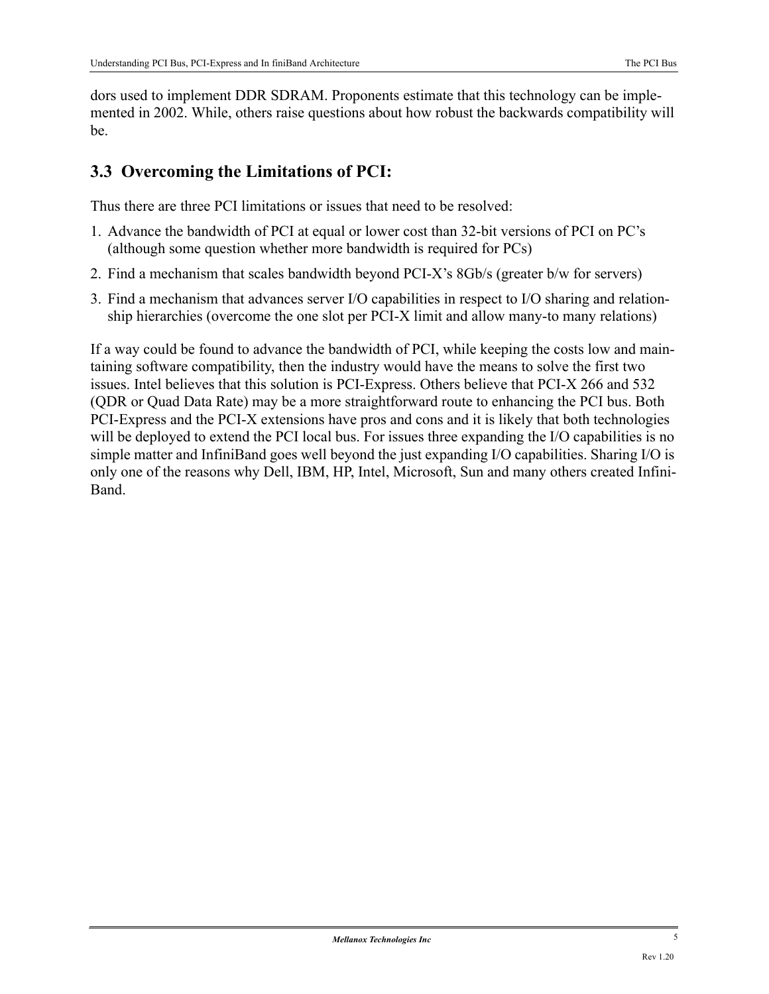dors used to implement DDR SDRAM. Proponents estimate that this technology can be implemented in 2002. While, others raise questions about how robust the backwards compatibility will be.

### **3.3 Overcoming the Limitations of PCI:**

Thus there are three PCI limitations or issues that need to be resolved:

- 1. Advance the bandwidth of PCI at equal or lower cost than 32-bit versions of PCI on PC's (although some question whether more bandwidth is required for PCs)
- 2. Find a mechanism that scales bandwidth beyond PCI-X's 8Gb/s (greater b/w for servers)
- 3. Find a mechanism that advances server I/O capabilities in respect to I/O sharing and relationship hierarchies (overcome the one slot per PCI-X limit and allow many-to many relations)

If a way could be found to advance the bandwidth of PCI, while keeping the costs low and maintaining software compatibility, then the industry would have the means to solve the first two issues. Intel believes that this solution is PCI-Express. Others believe that PCI-X 266 and 532 (QDR or Quad Data Rate) may be a more straightforward route to enhancing the PCI bus. Both PCI-Express and the PCI-X extensions have pros and cons and it is likely that both technologies will be deployed to extend the PCI local bus. For issues three expanding the I/O capabilities is no simple matter and InfiniBand goes well beyond the just expanding I/O capabilities. Sharing I/O is only one of the reasons why Dell, IBM, HP, Intel, Microsoft, Sun and many others created Infini-Band.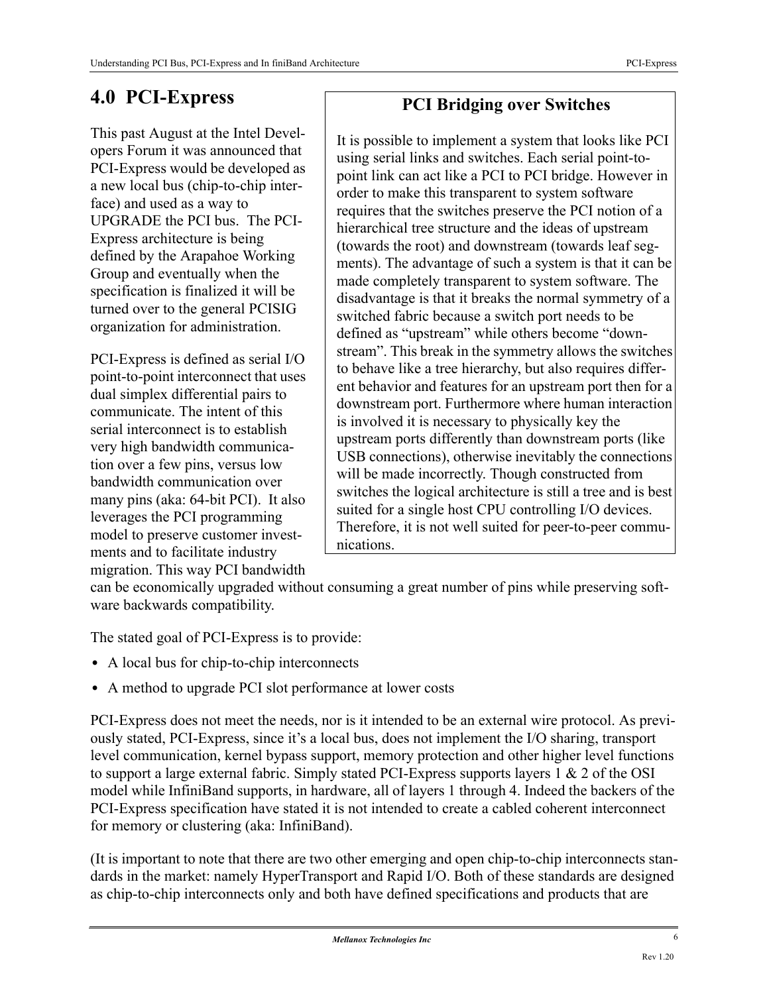## **4.0 PCI-Express**

This past August at the Intel Developers Forum it was announced that PCI-Express would be developed as a new local bus (chip-to-chip interface) and used as a way to UPGRADE the PCI bus. The PCI-Express architecture is being defined by the Arapahoe Working Group and eventually when the specification is finalized it will be turned over to the general PCISIG organization for administration.

PCI-Express is defined as serial I/O point-to-point interconnect that uses dual simplex differential pairs to communicate. The intent of this serial interconnect is to establish very high bandwidth communication over a few pins, versus low bandwidth communication over many pins (aka: 64-bit PCI). It also leverages the PCI programming model to preserve customer investments and to facilitate industry migration. This way PCI bandwidth

## **PCI Bridging over Switches**

It is possible to implement a system that looks like PCI using serial links and switches. Each serial point-topoint link can act like a PCI to PCI bridge. However in order to make this transparent to system software requires that the switches preserve the PCI notion of a hierarchical tree structure and the ideas of upstream (towards the root) and downstream (towards leaf segments). The advantage of such a system is that it can be made completely transparent to system software. The disadvantage is that it breaks the normal symmetry of a switched fabric because a switch port needs to be defined as "upstream" while others become "downstream". This break in the symmetry allows the switches to behave like a tree hierarchy, but also requires different behavior and features for an upstream port then for a downstream port. Furthermore where human interaction is involved it is necessary to physically key the upstream ports differently than downstream ports (like USB connections), otherwise inevitably the connections will be made incorrectly. Though constructed from switches the logical architecture is still a tree and is best suited for a single host CPU controlling I/O devices. Therefore, it is not well suited for peer-to-peer communications.

can be economically upgraded without consuming a great number of pins while preserving software backwards compatibility.

The stated goal of PCI-Express is to provide:

- **•** A local bus for chip-to-chip interconnects
- **•** A method to upgrade PCI slot performance at lower costs

PCI-Express does not meet the needs, nor is it intended to be an external wire protocol. As previously stated, PCI-Express, since it's a local bus, does not implement the I/O sharing, transport level communication, kernel bypass support, memory protection and other higher level functions to support a large external fabric. Simply stated PCI-Express supports layers 1 & 2 of the OSI model while InfiniBand supports, in hardware, all of layers 1 through 4. Indeed the backers of the PCI-Express specification have stated it is not intended to create a cabled coherent interconnect for memory or clustering (aka: InfiniBand).

(It is important to note that there are two other emerging and open chip-to-chip interconnects standards in the market: namely HyperTransport and Rapid I/O. Both of these standards are designed as chip-to-chip interconnects only and both have defined specifications and products that are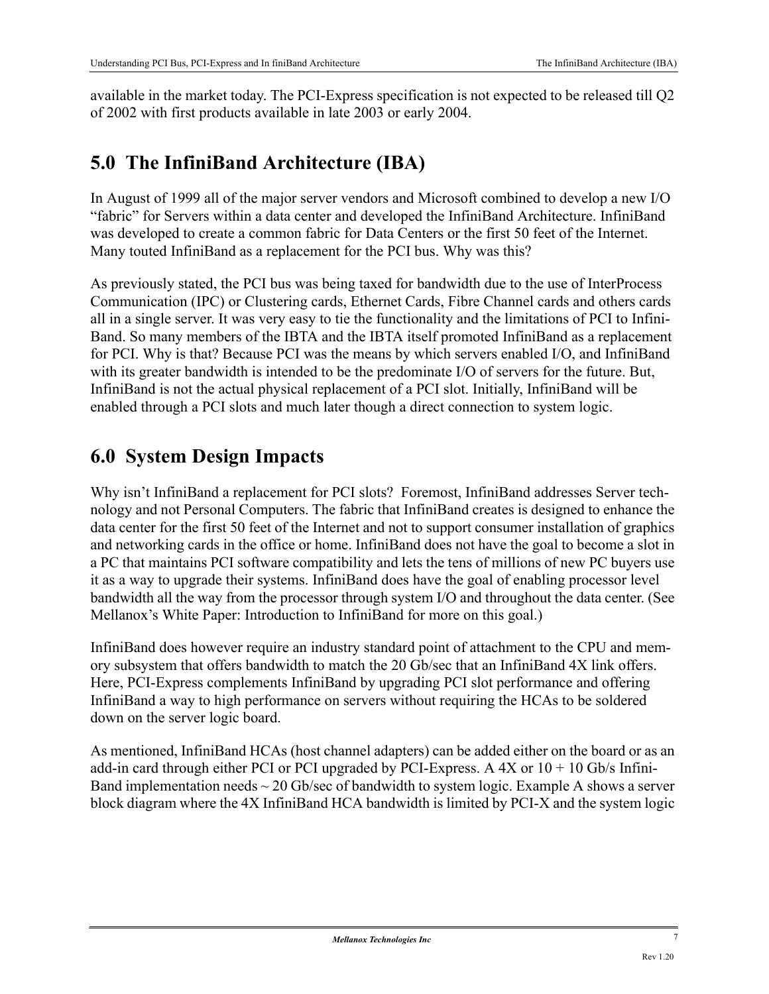available in the market today. The PCI-Express specification is not expected to be released till Q2 of 2002 with first products available in late 2003 or early 2004.

## **5.0 The InfiniBand Architecture (IBA)**

In August of 1999 all of the major server vendors and Microsoft combined to develop a new I/O "fabric" for Servers within a data center and developed the InfiniBand Architecture. InfiniBand was developed to create a common fabric for Data Centers or the first 50 feet of the Internet. Many touted InfiniBand as a replacement for the PCI bus. Why was this?

As previously stated, the PCI bus was being taxed for bandwidth due to the use of InterProcess Communication (IPC) or Clustering cards, Ethernet Cards, Fibre Channel cards and others cards all in a single server. It was very easy to tie the functionality and the limitations of PCI to Infini-Band. So many members of the IBTA and the IBTA itself promoted InfiniBand as a replacement for PCI. Why is that? Because PCI was the means by which servers enabled I/O, and InfiniBand with its greater bandwidth is intended to be the predominate I/O of servers for the future. But, InfiniBand is not the actual physical replacement of a PCI slot. Initially, InfiniBand will be enabled through a PCI slots and much later though a direct connection to system logic.

## **6.0 System Design Impacts**

Why isn't InfiniBand a replacement for PCI slots? Foremost, InfiniBand addresses Server technology and not Personal Computers. The fabric that InfiniBand creates is designed to enhance the data center for the first 50 feet of the Internet and not to support consumer installation of graphics and networking cards in the office or home. InfiniBand does not have the goal to become a slot in a PC that maintains PCI software compatibility and lets the tens of millions of new PC buyers use it as a way to upgrade their systems. InfiniBand does have the goal of enabling processor level bandwidth all the way from the processor through system I/O and throughout the data center. (See Mellanox's White Paper: Introduction to InfiniBand for more on this goal.)

InfiniBand does however require an industry standard point of attachment to the CPU and memory subsystem that offers bandwidth to match the 20 Gb/sec that an InfiniBand 4X link offers. Here, PCI-Express complements InfiniBand by upgrading PCI slot performance and offering InfiniBand a way to high performance on servers without requiring the HCAs to be soldered down on the server logic board.

As mentioned, InfiniBand HCAs (host channel adapters) can be added either on the board or as an add-in card through either PCI or PCI upgraded by PCI-Express. A  $4X$  or  $10 + 10$  Gb/s Infini-Band implementation needs  $\sim$  20 Gb/sec of bandwidth to system logic. Example A shows a server block diagram where the 4X InfiniBand HCA bandwidth is limited by PCI-X and the system logic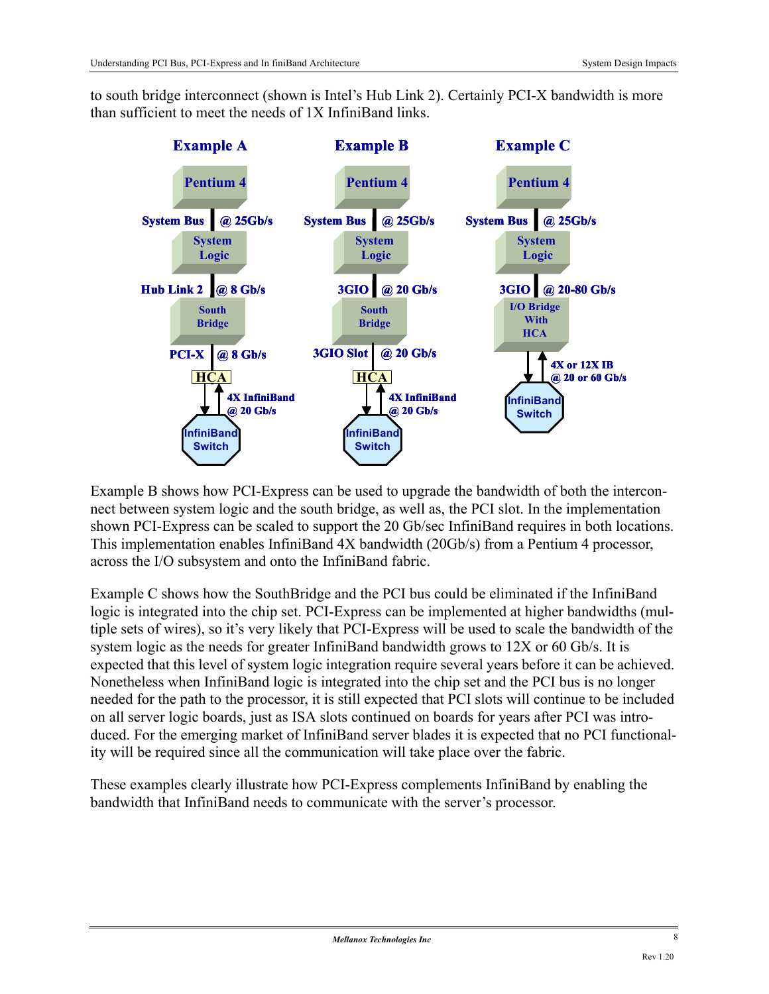to south bridge interconnect (shown is Intel's Hub Link 2). Certainly PCI-X bandwidth is more than sufficient to meet the needs of 1X InfiniBand links.



Example B shows how PCI-Express can be used to upgrade the bandwidth of both the interconnect between system logic and the south bridge, as well as, the PCI slot. In the implementation shown PCI-Express can be scaled to support the 20 Gb/sec InfiniBand requires in both locations. This implementation enables InfiniBand 4X bandwidth (20Gb/s) from a Pentium 4 processor, across the I/O subsystem and onto the InfiniBand fabric.

Example C shows how the SouthBridge and the PCI bus could be eliminated if the InfiniBand logic is integrated into the chip set. PCI-Express can be implemented at higher bandwidths (multiple sets of wires), so it's very likely that PCI-Express will be used to scale the bandwidth of the system logic as the needs for greater InfiniBand bandwidth grows to 12X or 60 Gb/s. It is expected that this level of system logic integration require several years before it can be achieved. Nonetheless when InfiniBand logic is integrated into the chip set and the PCI bus is no longer needed for the path to the processor, it is still expected that PCI slots will continue to be included on all server logic boards, just as ISA slots continued on boards for years after PCI was introduced. For the emerging market of InfiniBand server blades it is expected that no PCI functionality will be required since all the communication will take place over the fabric.

These examples clearly illustrate how PCI-Express complements InfiniBand by enabling the bandwidth that InfiniBand needs to communicate with the server's processor.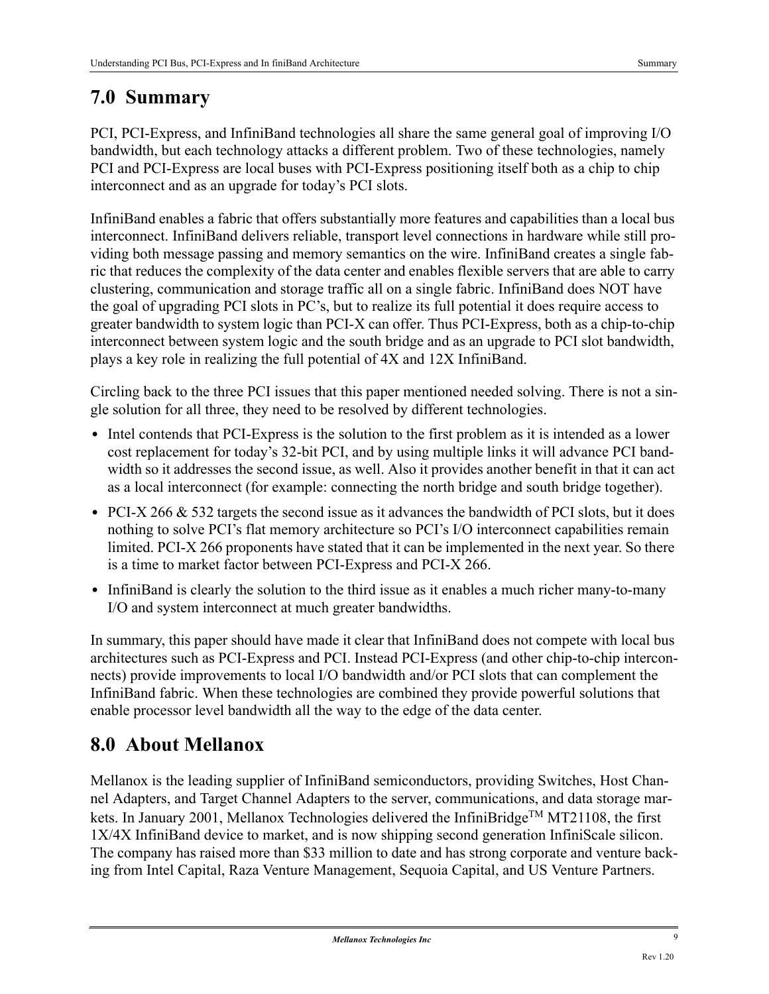## **7.0 Summary**

PCI, PCI-Express, and InfiniBand technologies all share the same general goal of improving I/O bandwidth, but each technology attacks a different problem. Two of these technologies, namely PCI and PCI-Express are local buses with PCI-Express positioning itself both as a chip to chip interconnect and as an upgrade for today's PCI slots.

InfiniBand enables a fabric that offers substantially more features and capabilities than a local bus interconnect. InfiniBand delivers reliable, transport level connections in hardware while still providing both message passing and memory semantics on the wire. InfiniBand creates a single fabric that reduces the complexity of the data center and enables flexible servers that are able to carry clustering, communication and storage traffic all on a single fabric. InfiniBand does NOT have the goal of upgrading PCI slots in PC's, but to realize its full potential it does require access to greater bandwidth to system logic than PCI-X can offer. Thus PCI-Express, both as a chip-to-chip interconnect between system logic and the south bridge and as an upgrade to PCI slot bandwidth, plays a key role in realizing the full potential of 4X and 12X InfiniBand.

Circling back to the three PCI issues that this paper mentioned needed solving. There is not a single solution for all three, they need to be resolved by different technologies.

- Intel contends that PCI-Express is the solution to the first problem as it is intended as a lower cost replacement for today's 32-bit PCI, and by using multiple links it will advance PCI bandwidth so it addresses the second issue, as well. Also it provides another benefit in that it can act as a local interconnect (for example: connecting the north bridge and south bridge together).
- PCI-X 266 & 532 targets the second issue as it advances the bandwidth of PCI slots, but it does nothing to solve PCI's flat memory architecture so PCI's I/O interconnect capabilities remain limited. PCI-X 266 proponents have stated that it can be implemented in the next year. So there is a time to market factor between PCI-Express and PCI-X 266.
- **•** InfiniBand is clearly the solution to the third issue as it enables a much richer many-to-many I/O and system interconnect at much greater bandwidths.

In summary, this paper should have made it clear that InfiniBand does not compete with local bus architectures such as PCI-Express and PCI. Instead PCI-Express (and other chip-to-chip interconnects) provide improvements to local I/O bandwidth and/or PCI slots that can complement the InfiniBand fabric. When these technologies are combined they provide powerful solutions that enable processor level bandwidth all the way to the edge of the data center.

## **8.0 About Mellanox**

Mellanox is the leading supplier of InfiniBand semiconductors, providing Switches, Host Channel Adapters, and Target Channel Adapters to the server, communications, and data storage markets. In January 2001, Mellanox Technologies delivered the InfiniBridge<sup>TM</sup> MT21108, the first 1X/4X InfiniBand device to market, and is now shipping second generation InfiniScale silicon. The company has raised more than \$33 million to date and has strong corporate and venture backing from Intel Capital, Raza Venture Management, Sequoia Capital, and US Venture Partners.